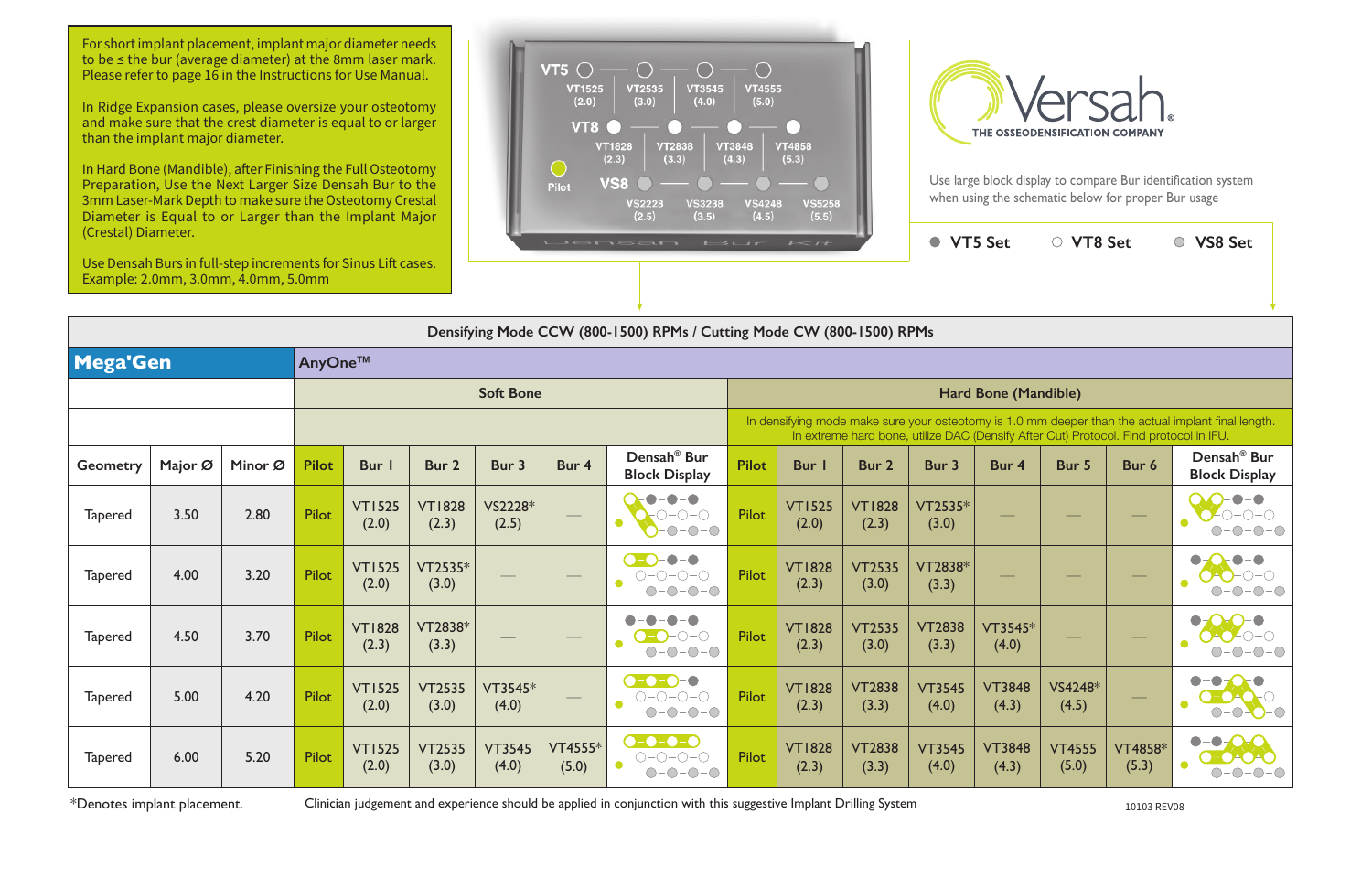In Hard Bone (Mandible), after Finishing the Full Osteotomy Preparation, Use the Next Larger Size Densah Bur to the 3mm Laser-Mark Depth to make sure the Osteotomy Crestal Diameter is Equal to or Larger than the Implant Major





Use large block display to compare Bur identification system when using the schematic below for proper Bur usage

| (Crestal) Diameter.<br>Use Densah Burs in full-step increments for Sinus Lift cases. |         | Example: 2.0mm, 3.0mm, 4.0mm, 5.0mm |              |                        |                        |                        |                  | $\mathbf{L} \rightarrow \mathbf{L} \rightarrow \mathbf{L} \rightarrow \mathbf{L} \rightarrow \mathbf{L} \rightarrow \mathbf{L} \rightarrow \mathbf{L} \rightarrow \mathbf{L} \rightarrow \mathbf{L} \rightarrow \mathbf{L} \rightarrow \mathbf{L} \rightarrow \mathbf{L} \rightarrow \mathbf{L} \rightarrow \mathbf{L} \rightarrow \mathbf{L} \rightarrow \mathbf{L} \rightarrow \mathbf{L} \rightarrow \mathbf{L} \rightarrow \mathbf{L} \rightarrow \mathbf{L} \rightarrow \mathbf{L} \rightarrow \mathbf{L} \rightarrow \mathbf{L} \rightarrow \mathbf{L} \rightarrow \mathbf{L} \rightarrow \mathbf{L} \rightarrow \mathbf{L} \rightarrow \mathbf{$ | $\mathbf{1} \qquad \mathbf{2} \qquad \mathbf{3} \qquad \mathbf{4} \qquad \mathbf{5} \qquad \mathbf{6} \qquad \mathbf{6} \qquad \mathbf{7} \qquad \mathbf{8} \qquad \mathbf{9} \qquad \mathbf{10} \qquad \mathbf{11} \qquad \mathbf{12} \qquad \mathbf{13} \qquad \mathbf{14} \qquad \mathbf{16} \qquad \mathbf{17} \qquad \mathbf{18} \qquad \mathbf{17} \qquad \mathbf{18} \qquad \mathbf{18} \qquad \mathbf{19} \qquad \mathbf{19} \qquad$ | $\mathbf{1} \leftarrow \mathbf{1} \mathbf{1}$ |                        | ● VT5 Set              |                             | ○ VT8 Set              |                  | ○ VS8 Set                                       |  |  |
|--------------------------------------------------------------------------------------|---------|-------------------------------------|--------------|------------------------|------------------------|------------------------|------------------|---------------------------------------------------------------------------------------------------------------------------------------------------------------------------------------------------------------------------------------------------------------------------------------------------------------------------------------------------------------------------------------------------------------------------------------------------------------------------------------------------------------------------------------------------------------------------------------------------------------------------------------------------------|----------------------------------------------------------------------------------------------------------------------------------------------------------------------------------------------------------------------------------------------------------------------------------------------------------------------------------------------------------------------------------------------------------------------------------------------|-----------------------------------------------|------------------------|------------------------|-----------------------------|------------------------|------------------|-------------------------------------------------|--|--|
|                                                                                      |         |                                     |              |                        |                        |                        |                  | Densifying Mode CCW (800-1500) RPMs / Cutting Mode CW (800-1500) RPMs                                                                                                                                                                                                                                                                                                                                                                                                                                                                                                                                                                                   |                                                                                                                                                                                                                                                                                                                                                                                                                                              |                                               |                        |                        |                             |                        |                  |                                                 |  |  |
| <b>Mega'Gen</b>                                                                      |         |                                     | AnyOne™      |                        |                        |                        |                  |                                                                                                                                                                                                                                                                                                                                                                                                                                                                                                                                                                                                                                                         |                                                                                                                                                                                                                                                                                                                                                                                                                                              |                                               |                        |                        |                             |                        |                  |                                                 |  |  |
|                                                                                      |         |                                     |              |                        |                        | <b>Soft Bone</b>       |                  |                                                                                                                                                                                                                                                                                                                                                                                                                                                                                                                                                                                                                                                         |                                                                                                                                                                                                                                                                                                                                                                                                                                              |                                               |                        |                        | <b>Hard Bone (Mandible)</b> |                        |                  |                                                 |  |  |
|                                                                                      |         |                                     |              |                        |                        |                        |                  |                                                                                                                                                                                                                                                                                                                                                                                                                                                                                                                                                                                                                                                         | In densifying mode make sure your osteotomy is 1.0 mm deeper than the actual implant final length.<br>In extreme hard bone, utilize DAC (Densify After Cut) Protocol. Find protocol in IFU.                                                                                                                                                                                                                                                  |                                               |                        |                        |                             |                        |                  |                                                 |  |  |
| <b>Geometry</b>                                                                      | Major Ø | Minor Ø                             | <b>Pilot</b> | <b>Bur</b> I           | Bur 2                  | Bur 3                  | Bur 4            | Densah <sup>®</sup> Bur<br><b>Block Display</b>                                                                                                                                                                                                                                                                                                                                                                                                                                                                                                                                                                                                         | <b>Pilot</b>                                                                                                                                                                                                                                                                                                                                                                                                                                 | Bur I                                         | Bur 2                  | Bur 3                  | Bur 4                       | Bur 5                  | Bur 6            | Densah <sup>®</sup> Bur<br><b>Block Display</b> |  |  |
| <b>Tapered</b>                                                                       | 3.50    | 2.80                                | <b>Pilot</b> | <b>VT1525</b><br>(2.0) | <b>VT1828</b><br>(2.3) | VS2228*<br>(2.5)       |                  | $\bullet$ – 0 $\bullet$<br>$O-O-O$<br>$-0-0-0$                                                                                                                                                                                                                                                                                                                                                                                                                                                                                                                                                                                                          | <b>Pilot</b>                                                                                                                                                                                                                                                                                                                                                                                                                                 | <b>VT1525</b><br>(2.0)                        | <b>VT1828</b><br>(2.3) | VT2535*<br>(3.0)       |                             |                        |                  |                                                 |  |  |
| <b>Tapered</b>                                                                       | 4.00    | 3.20                                | Pilot        | <b>VT1525</b><br>(2.0) | $VT2535*$<br>(3.0)     |                        |                  | $\bullet - \bullet$<br>$O-O-O-O-$<br>$O-O-O-O$                                                                                                                                                                                                                                                                                                                                                                                                                                                                                                                                                                                                          | Pilot                                                                                                                                                                                                                                                                                                                                                                                                                                        | <b>VT1828</b><br>(2.3)                        | <b>VT2535</b><br>(3.0) | VT2838*<br>(3.3)       |                             |                        |                  |                                                 |  |  |
| <b>Tapered</b>                                                                       | 4.50    | 3.70                                | <b>Pilot</b> | <b>VT1828</b><br>(2.3) | VT2838*<br>(3.3)       |                        |                  | $\bigcirc$ - $\bigcirc$ - $\bigcirc$ - $\bigcirc$<br>$O-O-O-O$                                                                                                                                                                                                                                                                                                                                                                                                                                                                                                                                                                                          | <b>Pilot</b>                                                                                                                                                                                                                                                                                                                                                                                                                                 | <b>VT1828</b><br>(2.3)                        | <b>VT2535</b><br>(3.0) | <b>VT2838</b><br>(3.3) | VT3545*<br>(4.0)            |                        |                  |                                                 |  |  |
| <b>Tapered</b>                                                                       | 5.00    | 4.20                                | <b>Pilot</b> | <b>VT1525</b><br>(2.0) | <b>VT2535</b><br>(3.0) | VT3545*<br>(4.0)       |                  | $\bullet$ - $\bullet$ - $\bullet$ - $\bullet$<br>$\bigcirc\negmedspace-\bigcirc\negmedspace-\bigcirc\negmedspace-\bigcirc$<br>$O-O-O-O$                                                                                                                                                                                                                                                                                                                                                                                                                                                                                                                 | Pilot                                                                                                                                                                                                                                                                                                                                                                                                                                        | <b>VT1828</b><br>(2.3)                        | <b>VT2838</b><br>(3.3) | <b>VT3545</b><br>(4.0) | <b>VT3848</b><br>(4.3)      | VS4248*<br>(4.5)       |                  | -0-0-0<br>$\bigcirc$                            |  |  |
| <b>Tapered</b>                                                                       | 6.00    | 5.20                                | Pilot        | <b>VT1525</b><br>(2.0) | <b>VT2535</b><br>(3.0) | <b>VT3545</b><br>(4.0) | VT4555*<br>(5.0) | $\bullet$ - $\bullet$ - $\bullet$ - $\bullet$<br>$\bigcirc\negmedspace-\bigcirc\negmedspace-\bigcirc\negmedspace-\bigcirc$<br>$O-O-O-O$                                                                                                                                                                                                                                                                                                                                                                                                                                                                                                                 | <b>Pilot</b>                                                                                                                                                                                                                                                                                                                                                                                                                                 | <b>VT1828</b><br>(2.3)                        | <b>VT2838</b><br>(3.3) | <b>VT3545</b><br>(4.0) | <b>VT3848</b><br>(4.3)      | <b>VT4555</b><br>(5.0) | VT4858*<br>(5.3) |                                                 |  |  |

\*Denotes implant placement. Clinician judgement and experience should be applied in conjunction with this suggestive Implant Drilling System 10103 REV08

For short implant placement, implant major diameter needs to be ≤ the bur (average diameter) at the 8mm laser mark. Please refer to page 16 in the Instructions for Use Manual.

In Ridge Expansion cases, please oversize your osteotomy and make sure that the crest diameter is equal to or larger than the implant major diameter.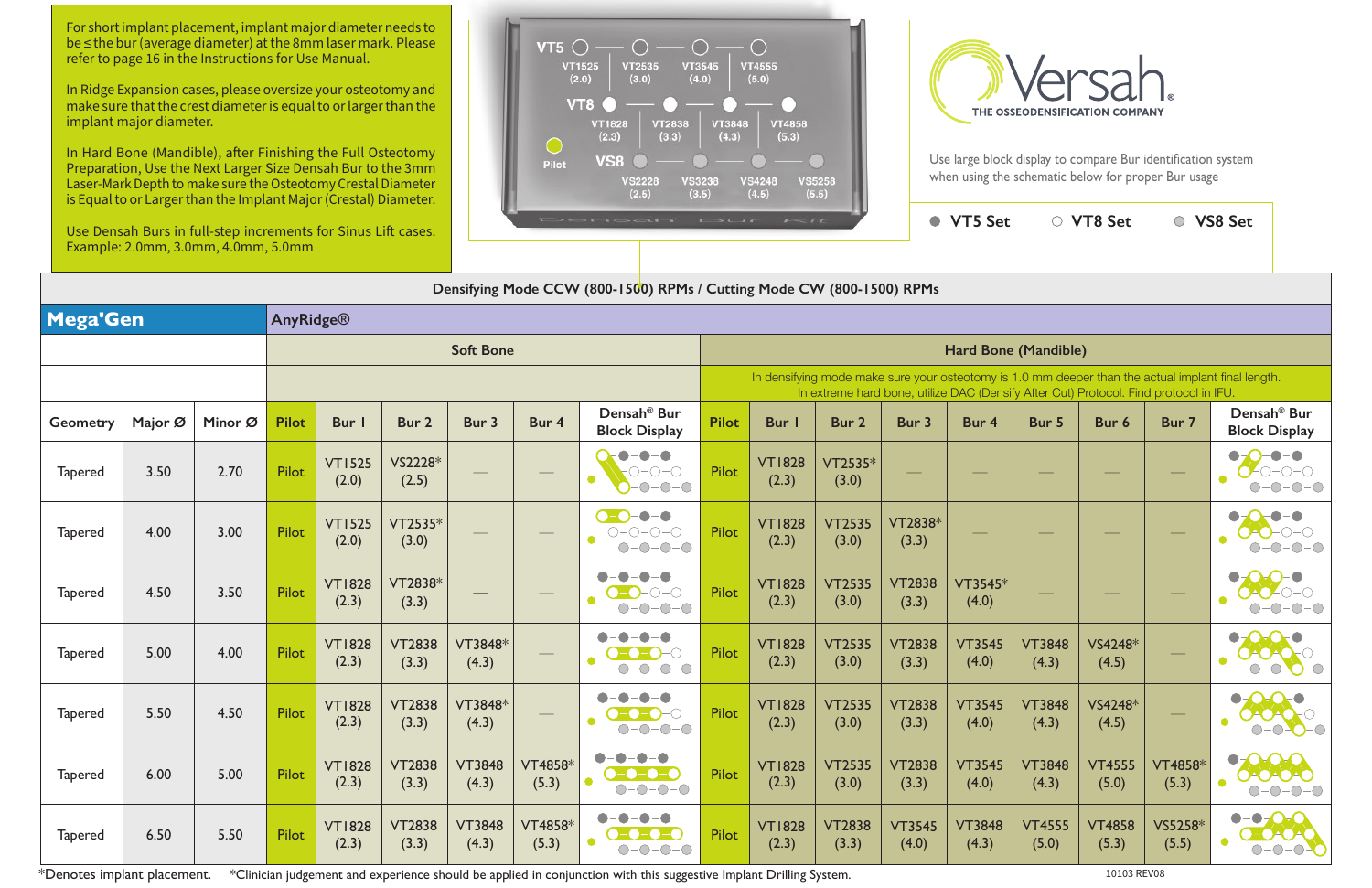| is Equal to or Earger than the implant major (crestar) Diameter.<br>Use Densah Burs in full-step increments for Sinus Lift cases.<br>Example: 2.0mm, 3.0mm, 4.0mm, 5.0mm |                                                                                                                                                                                             |         |                  |                        |                        |                        | $\sqrt{2}$<br>$\cdots \qquad \qquad \blacksquare$<br>$1 - 11$ |                                                                                 |                      |                        |                        |                        |                        | ● VT5 Set              | ○ VT8 Set              |                    | ○ VS8 Set                                                                     |  |
|--------------------------------------------------------------------------------------------------------------------------------------------------------------------------|---------------------------------------------------------------------------------------------------------------------------------------------------------------------------------------------|---------|------------------|------------------------|------------------------|------------------------|---------------------------------------------------------------|---------------------------------------------------------------------------------|----------------------|------------------------|------------------------|------------------------|------------------------|------------------------|------------------------|--------------------|-------------------------------------------------------------------------------|--|
|                                                                                                                                                                          |                                                                                                                                                                                             |         |                  |                        |                        |                        |                                                               | Densifying Mode CCW (800-1500) RPMs / Cutting Mode CW (800-1500) RPMs           |                      |                        |                        |                        |                        |                        |                        |                    |                                                                               |  |
| Mega'Gen                                                                                                                                                                 |                                                                                                                                                                                             |         | <b>AnyRidge®</b> |                        |                        |                        |                                                               |                                                                                 |                      |                        |                        |                        |                        |                        |                        |                    |                                                                               |  |
|                                                                                                                                                                          |                                                                                                                                                                                             |         |                  |                        |                        | <b>Soft Bone</b>       |                                                               |                                                                                 | Hard Bone (Mandible) |                        |                        |                        |                        |                        |                        |                    |                                                                               |  |
|                                                                                                                                                                          | In densifying mode make sure your osteotomy is 1.0 mm deeper than the actual implant final length.<br>In extreme hard bone, utilize DAC (Densify After Cut) Protocol. Find protocol in IFU. |         |                  |                        |                        |                        |                                                               |                                                                                 |                      |                        |                        |                        |                        |                        |                        |                    |                                                                               |  |
| Geometry                                                                                                                                                                 | Major Ø                                                                                                                                                                                     | Minor Ø | <b>Pilot</b>     | Bur I                  | Bur 2                  | Bur 3                  | Bur 4                                                         | Densah <sup>®</sup> Bur<br><b>Block Display</b>                                 | <b>Pilot</b>         | <b>Bur</b>             | <b>Bur 2</b>           | Bur 3                  | Bur 4                  | Bur 5                  | Bur 6                  | Bur 7              | Densah <sup>®</sup> Bur<br><b>Block Display</b>                               |  |
| <b>Tapered</b>                                                                                                                                                           | 3.50                                                                                                                                                                                        | 2.70    | Pilot            | <b>VT1525</b><br>(2.0) | VS2228*<br>(2.5)       |                        |                                                               | $-O$ - $O$ - $O$<br>$\bullet$<br>$ \bigcirc$ $ \bigcirc$<br>$\bigcirc$          | Pilot                | <b>VT1828</b><br>(2.3) | VT2535*<br>(3.0)       |                        |                        |                        |                        |                    |                                                                               |  |
| <b>Tapered</b>                                                                                                                                                           | 4.00                                                                                                                                                                                        | 3.00    | Pilot            | <b>VT1525</b><br>(2.0) | $VT2535*$<br>(3.0)     |                        |                                                               | $\bullet - \bullet$<br>$O-O-O-O$<br>$-O$ - $O$                                  | Pilot                | <b>VT1828</b><br>(2.3) | <b>VT2535</b><br>(3.0) | VT2838*<br>(3.3)       |                        |                        |                        |                    |                                                                               |  |
| <b>Tapered</b>                                                                                                                                                           | 4.50                                                                                                                                                                                        | 3.50    | Pilot            | <b>VT1828</b><br>(2.3) | VT2838*<br>(3.3)       |                        |                                                               | - ( $\bigcirc$                                                                  | Pilot                | <b>VT1828</b><br>(2.3) | <b>VT2535</b><br>(3.0) | <b>VT2838</b><br>(3.3) | VT3545*<br>(4.0)       |                        |                        |                    |                                                                               |  |
| <b>Tapered</b>                                                                                                                                                           | 5.00                                                                                                                                                                                        | 4.00    | Pilot            | <b>VT1828</b><br>(2.3) | <b>VT2838</b><br>(3.3) | VT3848*<br>(4.3)       |                                                               | $ \bigcirc$ $ \bigcirc$                                                         | Pilot                | <b>VT1828</b><br>(2.3) | <b>VT2535</b><br>(3.0) | <b>VT2838</b><br>(3.3) | <b>VT3545</b><br>(4.0) | <b>VT3848</b><br>(4.3) | VS4248*<br>(4.5)       |                    |                                                                               |  |
| <b>Tapered</b>                                                                                                                                                           | 5.50                                                                                                                                                                                        | 4.50    | <b>Pilot</b>     | <b>VT1828</b><br>(2.3) | <b>VT2838</b><br>(3.3) | VT3848*<br>(4.3)       | $\hspace{0.05cm}$                                             | $\bigcirc$ -O-O-O<br>$\bullet$<br>$O-O-O-O$                                     | Pilot                | <b>VT1828</b><br>(2.3) | <b>VT2535</b><br>(3.0) | <b>VT2838</b><br>(3.3) | <b>VT3545</b><br>(4.0) | <b>VT3848</b><br>(4.3) | VS4248*<br>(4.5)       | $\hspace{0.05cm}$  | $\bullet$ O O $\bullet$<br>0-0-0-0<br>$\bullet$<br>$0 - 0 - 0$                |  |
| <b>Tapered</b>                                                                                                                                                           | 6.00                                                                                                                                                                                        | 5.00    | Pilot            | <b>VT1828</b><br>(2.3) | <b>VT2838</b><br>(3.3) | <b>VT3848</b><br>(4.3) | VT4858*<br>(5.3)                                              | -0-<br>-0-0<br>$\bullet$<br>$\bullet$ 0-0-0-0<br>$O-O-O-O$                      | Pilot                | <b>VT1828</b><br>(2.3) | <b>VT2535</b><br>(3.0) | <b>VT2838</b><br>(3.3) | <b>VT3545</b><br>(4.0) | <b>VT3848</b><br>(4.3) | <b>VT4555</b><br>(5.0) | VT4858*<br>(5.3)   | $\bullet$ 0.00<br>0000<br>$\bullet$<br>$O-O-O-O-$                             |  |
| <b>Tapered</b>                                                                                                                                                           | 6.50                                                                                                                                                                                        | 5.50    | Pilot            | <b>VT1828</b><br>(2.3) | <b>VT2838</b><br>(3.3) | <b>VT3848</b><br>(4.3) | VT4858*<br>(5.3)                                              | $\bullet-\bullet$<br>$\bullet$ - $\bullet$ - $\bullet$ - $\bullet$<br>$O-O-O-O$ | Pilot                | <b>VT1828</b><br>(2.3) | <b>VT2838</b><br>(3.3) | <b>VT3545</b><br>(4.0) | <b>VT3848</b><br>(4.3) | <b>VT4555</b><br>(5.0) | <b>VT4858</b><br>(5.3) | $VS5258*$<br>(5.5) | $\bullet$ - $\bullet$ - $\bullet$ - $\bullet$<br>$0 - 0 - 0 - 0$<br>$\bullet$ |  |

\*Denotes implant placement. \*Clinician judgement and experience should be applied in conjunction with this suggestive Implant Drilling System.



Use large block display to compare Bur identification system when using the schematic below for proper Bur usage

For short implant placement, implant major diameter needs to be ≤ the bur (average diameter) at the 8mm laser mark. Please refer to page 16 in the Instructions for Use Manual.

In Ridge Expansion cases, please oversize your osteotomy and make sure that the crest diameter is equal to or larger than the implant major diameter.

In Hard Bone (Mandible), after Finishing the Full Osteotomy Preparation, Use the Next Larger Size Densah Bur to the 3mm Laser-Mark Depth to make sure the Osteotomy Crestal Diameter is Equal to or Larger than the Implant Major (Crestal) Diameter.

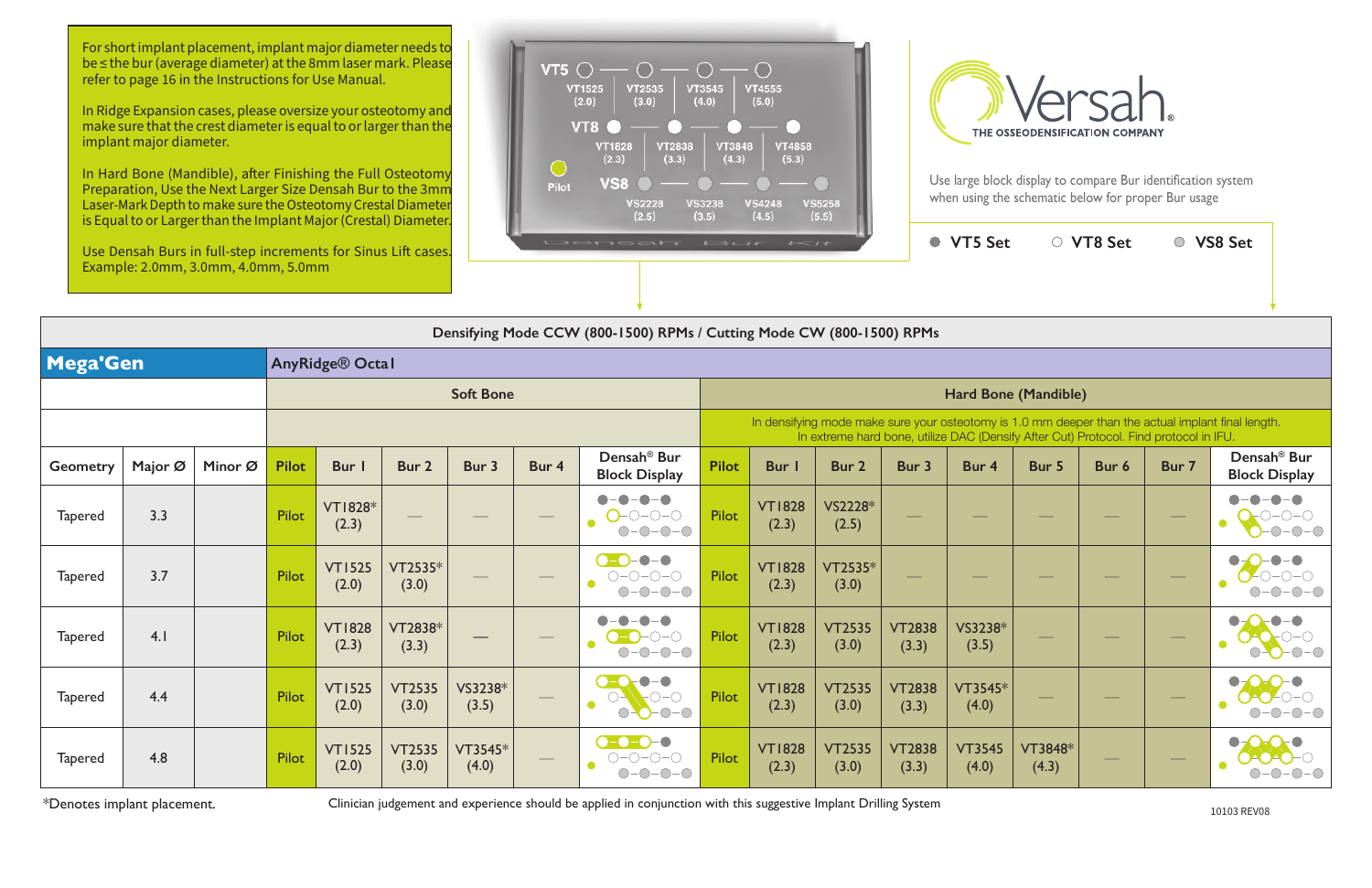| $1 - it$                                                                                                                                                                                    |                         |                        | <b>VT5 Set</b>         |                  | ○ VT8 Set |       | <b>VS8 Set</b>                                  |  |  |  |  |  |  |
|---------------------------------------------------------------------------------------------------------------------------------------------------------------------------------------------|-------------------------|------------------------|------------------------|------------------|-----------|-------|-------------------------------------------------|--|--|--|--|--|--|
|                                                                                                                                                                                             |                         |                        |                        |                  |           |       |                                                 |  |  |  |  |  |  |
|                                                                                                                                                                                             | Mode CW (800-1500) RPMs |                        |                        |                  |           |       |                                                 |  |  |  |  |  |  |
|                                                                                                                                                                                             |                         |                        |                        |                  |           |       |                                                 |  |  |  |  |  |  |
| Hard Bone (Mandible)                                                                                                                                                                        |                         |                        |                        |                  |           |       |                                                 |  |  |  |  |  |  |
| In densifying mode make sure your osteotomy is 1.0 mm deeper than the actual implant final length.<br>In extreme hard bone, utilize DAC (Densify After Cut) Protocol. Find protocol in IFU. |                         |                        |                        |                  |           |       |                                                 |  |  |  |  |  |  |
| Bur I                                                                                                                                                                                       | Bur 2                   | Bur 3                  | Bur 4                  | Bur 5            | Bur 6     | Bur 7 | Densah <sup>®</sup> Bur<br><b>Block Display</b> |  |  |  |  |  |  |
| <b>VT1828</b><br>(2.3)                                                                                                                                                                      | VS2228*<br>(2.5)        |                        |                        |                  |           |       |                                                 |  |  |  |  |  |  |
| <b>VT1828</b><br>(2.3)                                                                                                                                                                      | VT2535*<br>(3.0)        |                        |                        |                  |           |       |                                                 |  |  |  |  |  |  |
| <b>VT1828</b><br>(2.3)                                                                                                                                                                      | <b>VT2535</b><br>(3.0)  | <b>VT2838</b><br>(3.3) | VS3238*<br>(3.5)       |                  |           |       |                                                 |  |  |  |  |  |  |
| <b>VT1828</b><br>(2.3)                                                                                                                                                                      | <b>VT2535</b><br>(3.0)  | <b>VT2838</b><br>(3.3) | VT3545*<br>(4.0)       |                  |           |       |                                                 |  |  |  |  |  |  |
| <b>VT1828</b><br>(2.3)                                                                                                                                                                      | <b>VT2535</b><br>(3.0)  | <b>VT2838</b><br>(3.3) | <b>VT3545</b><br>(4.0) | VT3848*<br>(4.3) |           |       |                                                 |  |  |  |  |  |  |

|                | Densifying Mode CCW (800-1500) RPMs / Cutting Mode CW (800-1500) RPMs |         |              |                         |                        |                  |       |                                                             |                      |                        |                                                                                                                                                                                             |                        |                        |                  |       |        |                                                 |  |  |
|----------------|-----------------------------------------------------------------------|---------|--------------|-------------------------|------------------------|------------------|-------|-------------------------------------------------------------|----------------------|------------------------|---------------------------------------------------------------------------------------------------------------------------------------------------------------------------------------------|------------------------|------------------------|------------------|-------|--------|-------------------------------------------------|--|--|
| Mega'Gen       |                                                                       |         |              | AnyRidge® Octal         |                        |                  |       |                                                             |                      |                        |                                                                                                                                                                                             |                        |                        |                  |       |        |                                                 |  |  |
|                |                                                                       |         |              |                         |                        | <b>Soft Bone</b> |       |                                                             | Hard Bone (Mandible) |                        |                                                                                                                                                                                             |                        |                        |                  |       |        |                                                 |  |  |
|                |                                                                       |         |              |                         |                        |                  |       |                                                             |                      |                        | In densifying mode make sure your osteotomy is 1.0 mm deeper than the actual implant final length.<br>In extreme hard bone, utilize DAC (Densify After Cut) Protocol. Find protocol in IFU. |                        |                        |                  |       |        |                                                 |  |  |
| Geometry       | Major Ø                                                               | Minor Ø | <b>Pilot</b> | Bur                     | Bur 2                  | Bur 3            | Bur 4 | Densah <sup>®</sup> Bur<br><b>Block Display</b>             | <b>Pilot</b>         | Bur I                  | Bur 2                                                                                                                                                                                       | Bur 3                  | Bur 4                  | Bur 5            | Bur 6 | Bur 7  | Densah <sup>®</sup> Bur<br><b>Block Display</b> |  |  |
| <b>Tapered</b> | 3.3                                                                   |         | Pilot        | <b>VT1828*</b><br>(2.3) |                        |                  |       | $O$ -0-0-0<br>$\bullet$<br>◯-                               | <b>Pilot</b>         | <b>VT1828</b><br>(2.3) | VS2228*<br>(2.5)                                                                                                                                                                            |                        |                        |                  |       |        | $\bullet$                                       |  |  |
| <b>Tapered</b> | 3.7                                                                   |         | Pilot        | <b>VT1525</b><br>(2.0)  | VT2535*<br>(3.0)       |                  |       | $\bullet - \bullet$<br>$O-O-O-O$<br>$-0$ - $0$ - $\bigcirc$ | Pilot                | <b>VT1828</b><br>(2.3) | VT2535*<br>(3.0)                                                                                                                                                                            |                        |                        |                  |       |        |                                                 |  |  |
| <b>Tapered</b> | 4.1                                                                   |         | Pilot        | <b>VT1828</b><br>(2.3)  | VT2838*<br>(3.3)       |                  |       | $\bigcap -\bigcap$<br>$\bigcap -\bigcap$                    | <b>Pilot</b>         | <b>VT1828</b><br>(2.3) | <b>VT2535</b><br>(3.0)                                                                                                                                                                      | <b>VT2838</b><br>(3.3) | VS3238*<br>(3.5)       |                  |       | --     |                                                 |  |  |
| <b>Tapered</b> | 4.4                                                                   |         | Pilot        | <b>VT1525</b><br>(2.0)  | <b>VT2535</b><br>(3.0) | VS3238*<br>(3.5) |       | $\bigcap -\bigcap$                                          | Pilot                | <b>VT1828</b><br>(2.3) | <b>VT2535</b><br>(3.0)                                                                                                                                                                      | <b>VT2838</b><br>(3.3) | VT3545*<br>(4.0)       |                  |       |        |                                                 |  |  |
| <b>Tapered</b> | 4.8                                                                   |         | Pilot        | <b>VT1525</b><br>(2.0)  | <b>VT2535</b><br>(3.0) | VT3545*<br>(4.0) |       | <b>D-0-0-0</b><br>$O-O-O-O$                                 | <b>Pilot</b>         | <b>VT1828</b><br>(2.3) | <b>VT2535</b><br>(3.0)                                                                                                                                                                      | <b>VT2838</b><br>(3.3) | <b>VT3545</b><br>(4.0) | VT3848*<br>(4.3) |       | $\sim$ |                                                 |  |  |

\*Denotes implant placement. Clinician judgement and experience should be applied in conjunction with this suggestive Implant Drilling System 10103 REV08

For short implant placement, implant major diameter needs to be ≤ the bur (average diameter) at the 8mm laser mark. Please refer to page 16 in the Instructions for Use Manual.

In Ridge Expansion cases, please oversize your osteotomy and make sure that the crest diameter is equal to or larger than the implant major diameter.

In Hard Bone (Mandible), after Finishing the Full Osteotomy Preparation, Use the Next Larger Size Densah Bur to the 3mm Laser-Mark Depth to make sure the Osteotomy Crestal Diameter is Equal to or Larger than the Implant Major (Crestal) Diameter.

Use Densah Burs in full-step increments for Sinus Lift cases. Example: 2.0mm, 3.0mm, 4.0mm, 5.0mm





Use large block display to compare Bur identification system when using the schematic below for proper Bur usage